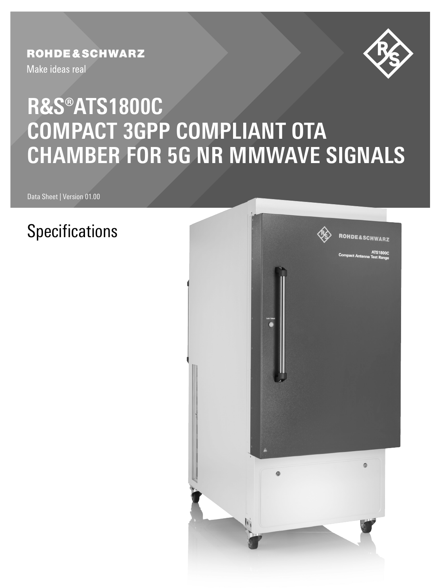## **ROHDE&SCHWARZ**

Make ideas real



# **COMPACT 3GPP COMPLIANT OTA** CUANAE <u>VIIMI</u> **CHAMBER FOR 5G NR MMWAVE SIGNALS R&S®ATS1800C**

Data Sheet | Version 01.00

# **Specifications**

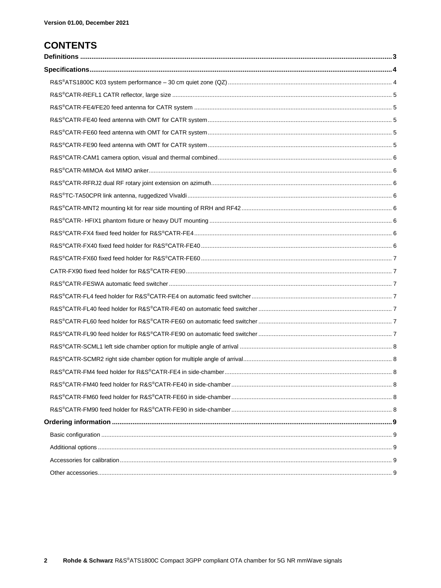### **CONTENTS**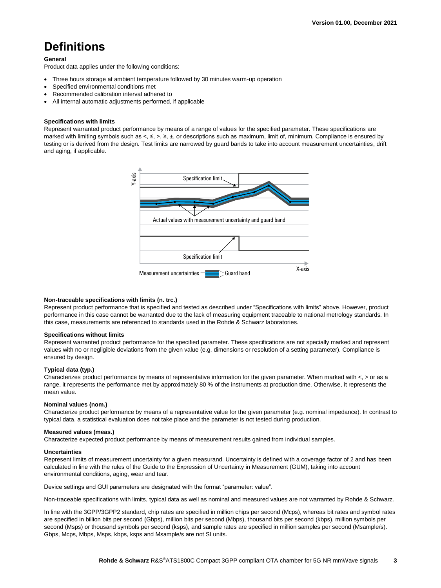# <span id="page-2-0"></span>**Definitions**

#### **General**

Product data applies under the following conditions:

- Three hours storage at ambient temperature followed by 30 minutes warm-up operation
- Specified environmental conditions met
- Recommended calibration interval adhered to
- All internal automatic adjustments performed, if applicable

#### **Specifications with limits**

Represent warranted product performance by means of a range of values for the specified parameter. These specifications are marked with limiting symbols such as <, ≤, >, ≥, ±, or descriptions such as maximum, limit of, minimum. Compliance is ensured by testing or is derived from the design. Test limits are narrowed by guard bands to take into account measurement uncertainties, drift and aging, if applicable.



#### **Non-traceable specifications with limits (n. trc.)**

Represent product performance that is specified and tested as described under "Specifications with limits" above. However, product performance in this case cannot be warranted due to the lack of measuring equipment traceable to national metrology standards. In this case, measurements are referenced to standards used in the Rohde & Schwarz laboratories.

#### **Specifications without limits**

Represent warranted product performance for the specified parameter. These specifications are not specially marked and represent values with no or negligible deviations from the given value (e.g. dimensions or resolution of a setting parameter). Compliance is ensured by design.

#### **Typical data (typ.)**

Characterizes product performance by means of representative information for the given parameter. When marked with <, > or as a range, it represents the performance met by approximately 80 % of the instruments at production time. Otherwise, it represents the mean value.

#### **Nominal values (nom.)**

Characterize product performance by means of a representative value for the given parameter (e.g. nominal impedance). In contrast to typical data, a statistical evaluation does not take place and the parameter is not tested during production.

#### **Measured values (meas.)**

Characterize expected product performance by means of measurement results gained from individual samples.

#### **Uncertainties**

Represent limits of measurement uncertainty for a given measurand. Uncertainty is defined with a coverage factor of 2 and has been calculated in line with the rules of the Guide to the Expression of Uncertainty in Measurement (GUM), taking into account environmental conditions, aging, wear and tear.

Device settings and GUI parameters are designated with the format "parameter: value".

Non-traceable specifications with limits, typical data as well as nominal and measured values are not warranted by Rohde & Schwarz.

In line with the 3GPP/3GPP2 standard, chip rates are specified in million chips per second (Mcps), whereas bit rates and symbol rates are specified in billion bits per second (Gbps), million bits per second (Mbps), thousand bits per second (kbps), million symbols per second (Msps) or thousand symbols per second (ksps), and sample rates are specified in million samples per second (Msample/s). Gbps, Mcps, Mbps, Msps, kbps, ksps and Msample/s are not SI units.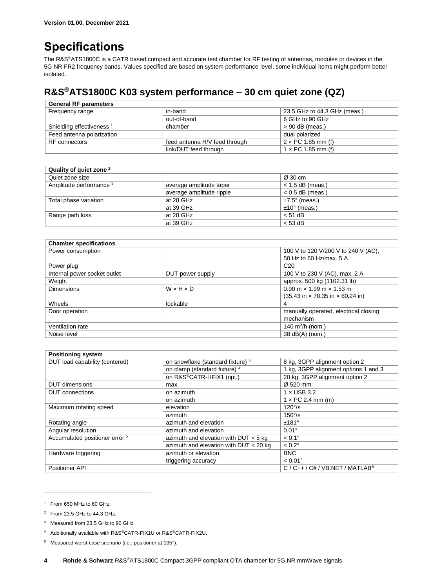# <span id="page-3-0"></span>**Specifications**

The R&S®ATS1800C is a CATR based compact and accurate test chamber for RF testing of antennas, modules or devices in the 5G NR FR2 frequency bands. Values specified are based on system performance level, some individual items might perform better isolated.

### <span id="page-3-1"></span>**R&S®ATS1800C K03 system performance – 30 cm quiet zone (QZ)**

| <b>General RF parameters</b>         |                               |                              |
|--------------------------------------|-------------------------------|------------------------------|
| Frequency range                      | in-band                       | 23.5 GHz to 44.3 GHz (meas.) |
|                                      | out-of-band                   | 6 GHz to 90 GHz              |
| Shielding effectiveness <sup>1</sup> | chamber                       | $> 90$ dB (meas.)            |
| Feed antenna polarization            |                               | dual polarized               |
| RF connectors                        | feed antenna H/V feed through | $2 \times PC$ 1.85 mm (f)    |
|                                      | link/DUT feed through         | $1 \times PC$ 1.85 mm (f)    |

| Quality of quiet zone <sup>2</sup> |                          |                       |
|------------------------------------|--------------------------|-----------------------|
| Quiet zone size                    |                          | Ø 30 cm               |
| Amplitude performance <sup>3</sup> | average amplitude taper  | $<$ 1.5 dB (meas.)    |
|                                    | average amplitude ripple | $< 0.5$ dB (meas.)    |
| Total phase variation              | at 28 GHz                | $±7.5^\circ$ (meas.)  |
|                                    | at 39 GHz                | $±10^{\circ}$ (meas.) |
| Range path loss                    | at 28 GHz                | $< 51$ dB             |
|                                    | at 39 GHz                | $<$ 53 dB             |

| <b>Chamber specifications</b> |                       |                                                                      |
|-------------------------------|-----------------------|----------------------------------------------------------------------|
| Power consumption             |                       | 100 V to 120 V/200 V to 240 V (AC),                                  |
|                               |                       | 50 Hz to 60 Hz/max, 5 A                                              |
| Power plug                    |                       | C <sub>20</sub>                                                      |
| Internal power socket outlet  | DUT power supply      | 100 V to 230 V (AC), max. 2 A                                        |
| Weight                        |                       | approx. 500 kg (1102.31 lb)                                          |
| <b>Dimensions</b>             | $W \times H \times D$ | $0.90$ m $\times$ 1.99 m $\times$ 1.53 m                             |
|                               |                       | $(35.43 \text{ in} \times 78.35 \text{ in} \times 60.24 \text{ in})$ |
| Wheels                        | lockable              | 4                                                                    |
| Door operation                |                       | manually operated, electrical closing                                |
|                               |                       | mechanism                                                            |
| Ventilation rate              |                       | 140 $m^3/h$ (nom.)                                                   |
| Noise level                   |                       | 38 dB(A) (nom.)                                                      |

<span id="page-3-2"></span>

| <b>Positioning system</b>                 |                                              |                                                      |
|-------------------------------------------|----------------------------------------------|------------------------------------------------------|
| DUT load capability (centered)            | on snowflake (standard fixture) <sup>4</sup> | 8 kg, 3GPP alignment option 2                        |
|                                           | on clamp (standard fixture) 4                | 1 kg, 3GPP alignment options 1 and 3                 |
|                                           | on R&S®CATR-HFIX1 (opt.)                     | 20 kg, 3GPP alignment option 2                       |
| <b>DUT</b> dimensions                     | max.                                         | Ø 520 mm                                             |
| <b>DUT</b> connections                    | on azimuth                                   | $1 \times$ USB 3.2                                   |
|                                           | on azimuth                                   | $1 \times PC$ 2.4 mm (m)                             |
| Maximum rotating speed                    | elevation                                    | $120^{\circ}/s$                                      |
|                                           | azimuth                                      | $150^{\circ}/s$                                      |
| Rotating angle                            | azimuth and elevation                        | ±181°                                                |
| Angular resolution                        | azimuth and elevation                        | $0.01^\circ$                                         |
| Accumulated positioner error <sup>5</sup> | azimuth and elevation with $DUT < 5$ kg      | $< 0.1^{\circ}$                                      |
|                                           | azimuth and elevation with $DUT < 20$ kg     | $< 0.2^\circ$                                        |
| Hardware triggering                       | azimuth or elevation                         | <b>BNC</b>                                           |
|                                           | triggering accuracy                          | $< 0.01^{\circ}$                                     |
| Positioner API                            |                                              | $C / C_{++} / C_{#} / VB$ .NET / MATLAB <sup>®</sup> |

<sup>1</sup> From 650 MHz to 60 GHz.

l

<sup>2</sup> From 23.5 GHz to 44.3 GHz.

<sup>&</sup>lt;sup>3</sup> Measured from 23.5 GHz to 90 GHz.

<sup>4</sup> Additionally available with R&S®CATR-FIX1U or R&S®CATR-FIX2U.

<sup>5</sup> Measured worst-case scenario (i.e.: positioner at 135°).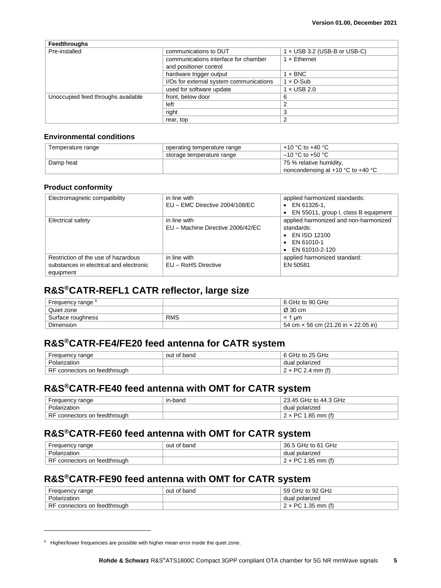| <b>Feedthroughs</b>                |                                                                |                                     |
|------------------------------------|----------------------------------------------------------------|-------------------------------------|
| Pre-installed                      | communications to DUT                                          | $1 \times$ USB 3.2 (USB-B or USB-C) |
|                                    | communications interface for chamber<br>and positioner control | $1 \times$ Ethernet                 |
|                                    | hardware trigger output                                        | $1 \times BNC$                      |
|                                    | I/Os for external system communications                        | $1 \times D$ -Sub                   |
|                                    | used for software update                                       | $1 \times$ USB 2.0                  |
| Unoccupied feed throughs available | front, below door                                              | 6                                   |
|                                    | left                                                           | 2                                   |
|                                    | right                                                          | 3                                   |
|                                    | rear, top                                                      | 2                                   |

#### **Environmental conditions**

| Temperature range | operating temperature range | +10 °C to +40 °C                      |
|-------------------|-----------------------------|---------------------------------------|
|                   | storage temperature range   | $-10$ °C to +50 °C                    |
| Damp heat         |                             | 75 % relative humidity,               |
|                   |                             | noncondensing at $+10$ °C to $+40$ °C |

#### **Product conformity**

| Electromagnetic compatibility                                                               | in line with<br>$EU$ – EMC Directive 2004/108/EC  | applied harmonized standards:<br>$\bullet$ EN 61326-1.<br>• EN 55011, group I, class B equipment                                  |
|---------------------------------------------------------------------------------------------|---------------------------------------------------|-----------------------------------------------------------------------------------------------------------------------------------|
| Electrical safety                                                                           | in line with<br>EU - Machine Directive 2006/42/EC | applied harmonized and non-harmonized<br>standards:<br>$\bullet$ EN ISO 12100<br>$\bullet$ EN 61010-1<br>$\bullet$ EN 61010-2-120 |
| Restriction of the use of hazardous<br>substances in electrical and electronic<br>equipment | in line with<br>EU - RoHS Directive               | applied harmonized standard:<br>EN 50581                                                                                          |

### <span id="page-4-0"></span>**R&S®CATR-REFL1 CATR reflector, large size**

| Frequency range <sup>6</sup> |            | 6 GHz to 90 GHz                                   |
|------------------------------|------------|---------------------------------------------------|
| Quiet zone                   |            | Ø 30 cm                                           |
| Surface roughness            | <b>RMS</b> | um                                                |
| <b>Dimension</b>             |            | 54 cm $\times$ 56 cm (21.26 in $\times$ 22.05 in) |

#### <span id="page-4-1"></span>**R&S®CATR-FE4/FE20 feed antenna for CATR system**

| Frequency range                          | out of band | 6 GHz to 25 GHz |
|------------------------------------------|-------------|-----------------|
| Polarization                             |             | dual polarized  |
| <b>RF</b><br>- connectors on feedthrough |             | . פרחם<br>mm    |

### <span id="page-4-2"></span>**R&S®CATR-FE40 feed antenna with OMT for CATR system**

| Frequency range              | in-band | 23.45 GHz to 44.3 GHz     |
|------------------------------|---------|---------------------------|
| Polarization                 |         | dual polarized            |
| RF connectors on feedthrough |         | $2 \times PC$ 1.85 mm (f) |

#### <span id="page-4-3"></span>**R&S®CATR-FE60 feed antenna with OMT for CATR system**

| Frequency range              | out of band | 36.5 GHz to 61 GHz        |
|------------------------------|-------------|---------------------------|
| Polarization                 |             | dual polarized            |
| RF connectors on feedthrough |             | $2 \times PC$ 1.85 mm (f) |

### <span id="page-4-4"></span>**R&S®CATR-FE90 feed antenna with OMT for CATR system**

| Frequency range              | out of band | 59 GHz to 92 GHz          |
|------------------------------|-------------|---------------------------|
| Polarization                 |             | dual polarized            |
| RF connectors on feedthrough |             | $2 \times PC$ 1.35 mm (f) |

<sup>6</sup> Higher/lower frequencies are possible with higher mean error inside the quiet zone.

 $\overline{a}$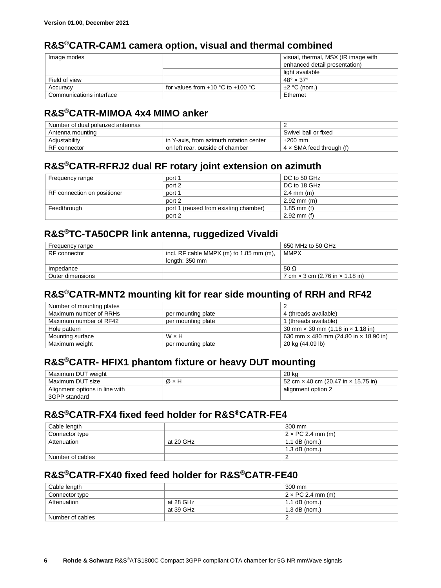### <span id="page-5-0"></span>**R&S®CATR-CAM1 camera option, visual and thermal combined**

| Image modes              |                                       | visual, thermal, MSX (IR image with |
|--------------------------|---------------------------------------|-------------------------------------|
|                          |                                       | enhanced detail presentation)       |
|                          |                                       | light available                     |
| Field of view            |                                       | $48^\circ \times 37^\circ$          |
| Accuracy                 | for values from $+10$ °C to $+100$ °C | $\pm 2$ °C (nom.)                   |
| Communications interface |                                       | Ethernet                            |

#### <span id="page-5-1"></span>**R&S®CATR-MIMOA 4x4 MIMO anker**

| Number of dual polarized antennas |                                         |                                 |
|-----------------------------------|-----------------------------------------|---------------------------------|
| Antenna mounting                  |                                         | Swivel ball or fixed            |
| Adjustability                     | in Y-axis, from azimuth rotation center | $±200$ mm                       |
| RF connector                      | on left rear, outside of chamber        | $4 \times$ SMA feed through (f) |

#### <span id="page-5-2"></span>**R&S®CATR-RFRJ2 dual RF rotary joint extension on azimuth**

| Frequency range             | port 1                                | DC to 50 GHz                     |
|-----------------------------|---------------------------------------|----------------------------------|
|                             | port 2                                | DC to 18 GHz                     |
| RF connection on positioner | port 1                                | $2.4 \, \text{mm} \, \text{(m)}$ |
|                             | port 2                                | $2.92$ mm (m)                    |
| Feedthrough                 | port 1 (reused from existing chamber) | 1.85 mm (f)                      |
|                             | port 2                                | $2.92$ mm (f)                    |

#### <span id="page-5-3"></span>**R&S®TC-TA50CPR link antenna, ruggedized Vivaldi**

| Frequency range  |                                         | 650 MHz to 50 GHz                             |
|------------------|-----------------------------------------|-----------------------------------------------|
| RF connector     | incl. RF cable MMPX (m) to 1.85 mm (m), | <b>MMPX</b>                                   |
|                  | length: 350 mm                          |                                               |
| Impedance        |                                         | 50 $\Omega$                                   |
| Outer dimensions |                                         | 7 cm $\times$ 3 cm (2.76 in $\times$ 1.18 in) |

### <span id="page-5-4"></span>**R&S®CATR-MNT2 mounting kit for rear side mounting of RRH and RF42**

| Number of mounting plates |                    |                                                 |
|---------------------------|--------------------|-------------------------------------------------|
| Maximum number of RRHs    | per mounting plate | 4 (threads available)                           |
| Maximum number of RF42    | per mounting plate | 1 (threads available)                           |
| Hole pattern              |                    | 30 mm $\times$ 30 mm (1.18 in $\times$ 1.18 in) |
| Mounting surface          | W×H                | 630 mm x 480 mm (24.80 in x 18.90 in)           |
| Maximum weight            | per mounting plate | 20 kg (44.09 lb)                                |

#### <span id="page-5-5"></span>**R&S®CATR- HFIX1 phantom fixture or heavy DUT mounting**

| Maximum DUT weight             |     | 20 ka                                             |
|--------------------------------|-----|---------------------------------------------------|
| Maximum DUT size               | Ø×H | 52 cm $\times$ 40 cm (20.47 in $\times$ 15.75 in) |
| Alignment options in line with |     | alignment option 2                                |
| 3GPP standard                  |     |                                                   |

### <span id="page-5-6"></span>**R&S®CATR-FX4 fixed feed holder for R&S®CATR-FE4**

| Cable length     |           | 300 mm                   |
|------------------|-----------|--------------------------|
| Connector type   |           | $2 \times PC$ 2.4 mm (m) |
| Attenuation      | at 20 GHz | $1.1$ dB (nom.)          |
|                  |           | $1.3$ dB (nom.)          |
| Number of cables |           |                          |

#### <span id="page-5-7"></span>**R&S®CATR-FX40 fixed feed holder for R&S®CATR-FE40**

| Cable length     |           | 300 mm                   |
|------------------|-----------|--------------------------|
| Connector type   |           | $2 \times PC$ 2.4 mm (m) |
| Attenuation      | at 28 GHz | $1.1$ dB (nom.)          |
|                  | at 39 GHz | $1.3$ dB (nom.)          |
| Number of cables |           |                          |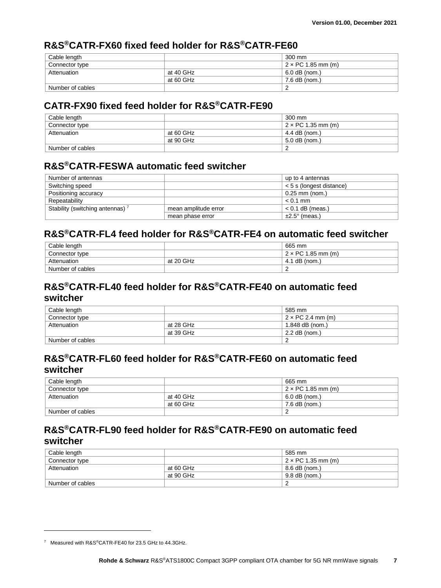### <span id="page-6-0"></span>**R&S®CATR-FX60 fixed feed holder for R&S®CATR-FE60**

| Cable length     |           | 300 mm                    |
|------------------|-----------|---------------------------|
| Connector type   |           | $2 \times PC$ 1.85 mm (m) |
| Attenuation      | at 40 GHz | 6.0 dB (nom.)             |
|                  | at 60 GHz | 7.6 dB (nom.)             |
| Number of cables |           |                           |

#### <span id="page-6-1"></span>**CATR-FX90 fixed feed holder for R&S®CATR-FE90**

| Cable length     |           | 300 mm                    |
|------------------|-----------|---------------------------|
| Connector type   |           | $2 \times PC$ 1.35 mm (m) |
| Attenuation      | at 60 GHz | 4.4 dB (nom.)             |
|                  | at 90 GHz | 5.0 dB (nom.)             |
| Number of cables |           |                           |

#### <span id="page-6-2"></span>**R&S®CATR-FESWA automatic feed switcher**

| Number of antennas                          |                      | up to 4 antennas          |
|---------------------------------------------|----------------------|---------------------------|
| Switching speed                             |                      | < 5 s (longest distance)  |
| Positioning accuracy                        |                      | $0.25$ mm (nom.)          |
| Repeatability                               |                      | $< 0.1$ mm                |
| Stability (switching antennas) <sup>7</sup> | mean amplitude error | $< 0.1$ dB (meas.)        |
|                                             | mean phase error     | $\pm 2.5^{\circ}$ (meas.) |

#### <span id="page-6-3"></span>**R&S®CATR-FL4 feed holder for R&S®CATR-FE4 on automatic feed switcher**

| Cable length     |           | 665 mm                    |
|------------------|-----------|---------------------------|
| Connector type   |           | $2 \times PC$ 1.85 mm (m) |
| Attenuation      | at 20 GHz | 4.1 dB (nom.)             |
| Number of cables |           |                           |

### <span id="page-6-4"></span>**R&S®CATR-FL40 feed holder for R&S®CATR-FE40 on automatic feed switcher**

| Cable length     |           | 585 mm                         |  |
|------------------|-----------|--------------------------------|--|
| Connector type   |           | $\pm$ 2 $\times$ PC 2.4 mm (m) |  |
| Attenuation      | at 28 GHz | 1.848 $dB$ (nom.)              |  |
|                  | at 39 GHz | 2.2 dB (nom.)                  |  |
| Number of cables |           |                                |  |

#### <span id="page-6-5"></span>**R&S®CATR-FL60 feed holder for R&S®CATR-FE60 on automatic feed switcher**

| Cable length     |           | 665 mm                    |  |
|------------------|-----------|---------------------------|--|
| Connector type   |           | $2 \times PC$ 1.85 mm (m) |  |
| Attenuation      | at 40 GHz | $6.0$ dB (nom.)           |  |
|                  | at 60 GHz | 7.6 dB (nom.)             |  |
| Number of cables |           |                           |  |

### <span id="page-6-6"></span>**R&S®CATR-FL90 feed holder for R&S®CATR-FE90 on automatic feed switcher**

| Cable length     |           | 585 mm                     |  |
|------------------|-----------|----------------------------|--|
| Connector type   |           | $+2 \times PC$ 1.35 mm (m) |  |
| Attenuation      | at 60 GHz | 8.6 dB (nom.)              |  |
|                  | at 90 GHz | 9.8 dB (nom.)              |  |
| Number of cables |           |                            |  |

 $\overline{a}$ 

<sup>7</sup> Measured with R&S®CATR-FE40 for 23.5 GHz to 44.3GHz.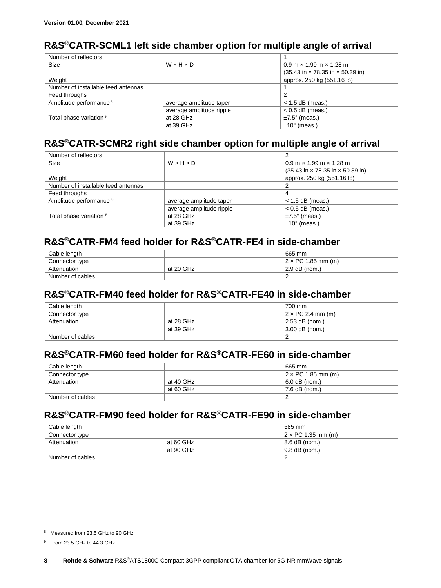### <span id="page-7-0"></span>**R&S®CATR-SCML1 left side chamber option for multiple angle of arrival**

| Number of reflectors                |                          |                                                                      |
|-------------------------------------|--------------------------|----------------------------------------------------------------------|
| Size                                | $W \times H \times D$    | $0.9$ m $\times$ 1.99 m $\times$ 1.28 m                              |
|                                     |                          | $(35.43 \text{ in} \times 78.35 \text{ in} \times 50.39 \text{ in})$ |
| Weight                              |                          | approx. 250 kg (551.16 lb)                                           |
| Number of installable feed antennas |                          |                                                                      |
| Feed throughs                       |                          |                                                                      |
| Amplitude performance 8             | average amplitude taper  | $<$ 1.5 dB (meas.)                                                   |
|                                     | average amplitude ripple | $< 0.5$ dB (meas.)                                                   |
| Total phase variation <sup>9</sup>  | at 28 GHz                | $±7.5^\circ$ (meas.)                                                 |
|                                     | at 39 GHz                | $±10°$ (meas.)                                                       |

#### <span id="page-7-7"></span><span id="page-7-6"></span><span id="page-7-1"></span>**R&S®CATR-SCMR2 right side chamber option for multiple angle of arrival**

| Number of reflectors                |                          |                                                                      |
|-------------------------------------|--------------------------|----------------------------------------------------------------------|
| Size                                | WxHxD                    | $0.9$ m $\times$ 1.99 m $\times$ 1.28 m                              |
|                                     |                          | $(35.43 \text{ in} \times 78.35 \text{ in} \times 50.39 \text{ in})$ |
| Weight                              |                          | approx. 250 kg (551.16 lb)                                           |
| Number of installable feed antennas |                          | ົ                                                                    |
| Feed throughs                       |                          | 4                                                                    |
| Amplitude performance <sup>8</sup>  | average amplitude taper  | $<$ 1.5 dB (meas.)                                                   |
|                                     | average amplitude ripple | $< 0.5$ dB (meas.)                                                   |
| Total phase variation <sup>9</sup>  | at 28 GHz                | $±7.5^\circ$ (meas.)                                                 |
|                                     | at 39 GHz                | $±10°$ (meas.)                                                       |

### <span id="page-7-2"></span>**R&S®CATR-FM4 feed holder for R&S®CATR-FE4 in side-chamber**

| Cable length     |           | 665 mm                    |
|------------------|-----------|---------------------------|
| Connector type   |           | $2 \times PC$ 1.85 mm (m) |
| Attenuation      | at 20 GHz | $2.9$ dB (nom.)           |
| Number of cables |           |                           |

### <span id="page-7-3"></span>**R&S®CATR-FM40 feed holder for R&S®CATR-FE40 in side-chamber**

| Cable length     |           | 700 mm                   |  |
|------------------|-----------|--------------------------|--|
| Connector type   |           | $2 \times PC$ 2.4 mm (m) |  |
| Attenuation      | at 28 GHz | 2.53 dB (nom.)           |  |
|                  | at 39 GHz | 3.00 dB (nom.)           |  |
| Number of cables |           |                          |  |

### <span id="page-7-4"></span>**R&S®CATR-FM60 feed holder for R&S®CATR-FE60 in side-chamber**

| Cable length     |           | 665 mm                    |  |
|------------------|-----------|---------------------------|--|
| Connector type   |           | $2 \times PC$ 1.85 mm (m) |  |
| Attenuation      | at 40 GHz | 6.0 dB (nom.)             |  |
|                  | at 60 GHz | 7.6 dB (nom.)             |  |
| Number of cables |           |                           |  |

#### <span id="page-7-5"></span>**R&S®CATR-FM90 feed holder for R&S®CATR-FE90 in side-chamber**

| Cable length     |           | 585 mm                    |  |
|------------------|-----------|---------------------------|--|
| Connector type   |           | $2 \times PC$ 1.35 mm (m) |  |
| Attenuation      | at 60 GHz | 8.6 dB (nom.)             |  |
|                  | at 90 GHz | 9.8 dB (nom.)             |  |
| Number of cables |           |                           |  |

l

<sup>8</sup> Measured from 23.5 GHz to 90 GHz.

<sup>9</sup> From 23.5 GHz to 44.3 GHz.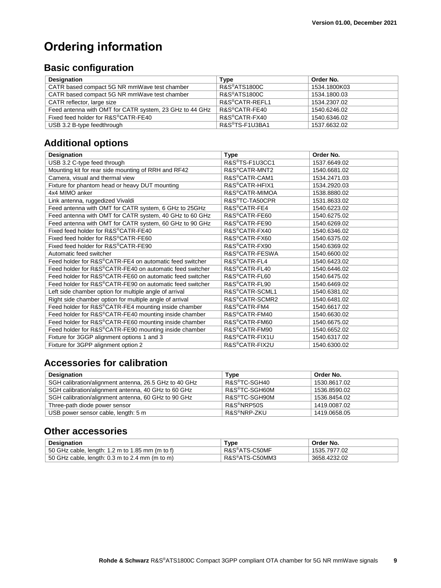# <span id="page-8-0"></span>**Ordering information**

# <span id="page-8-1"></span>**Basic configuration**

| <b>Designation</b>                                      | <b>Type</b>                 | Order No.    |
|---------------------------------------------------------|-----------------------------|--------------|
| CATR based compact 5G NR mmWave test chamber            | R&S®ATS1800C                | 1534.1800K03 |
| CATR based compact 5G NR mmWave test chamber            | <b>R&amp;S®ATS1800C</b>     | 1534.1800.03 |
| CATR reflector, large size                              | R&S <sup>®</sup> CATR-REFL1 | 1534.2307.02 |
| Feed antenna with OMT for CATR system, 23 GHz to 44 GHz | R&S <sup>®</sup> CATR-FE40  | 1540.6246.02 |
| Fixed feed holder for R&S®CATR-FE40                     | R&S®CATR-FX40               | 1540.6346.02 |
| USB 3.2 B-type feedthrough                              | R&S <sup>®</sup> TS-F1U3BA1 | 1537.6632.02 |

### <span id="page-8-2"></span>**Additional options**

| <b>Designation</b>                                       | <b>Type</b>                 | Order No.    |
|----------------------------------------------------------|-----------------------------|--------------|
| USB 3.2 C-type feed through                              | R&S®TS-F1U3CC1              | 1537.6649.02 |
| Mounting kit for rear side mounting of RRH and RF42      | R&S <sup>®</sup> CATR-MNT2  | 1540.6681.02 |
| Camera, visual and thermal view                          | R&S®CATR-CAM1               | 1534.2471.03 |
| Fixture for phantom head or heavy DUT mounting           | R&S®CATR-HFIX1              | 1534.2920.03 |
| 4x4 MIMO anker                                           | R&S <sup>®</sup> CATR-MIMOA | 1538.8880.02 |
| Link antenna, ruggedized Vivaldi                         | R&S <sup>®</sup> TC-TA50CPR | 1531.8633.02 |
| Feed antenna with OMT for CATR system, 6 GHz to 25GHz    | R&S <sup>®</sup> CATR-FE4   | 1540.6223.02 |
| Feed antenna with OMT for CATR system, 40 GHz to 60 GHz  | R&S®CATR-FE60               | 1540.6275.02 |
| Feed antenna with OMT for CATR system, 60 GHz to 90 GHz  | R&S®CATR-FE90               | 1540.6269.02 |
| Fixed feed holder for R&S®CATR-FE40                      | R&S <sup>®</sup> CATR-FX40  | 1540.6346.02 |
| Fixed feed holder for R&S®CATR-FE60                      | R&S®CATR-FX60               | 1540.6375.02 |
| Fixed feed holder for R&S®CATR-FE90                      | R&S®CATR-FX90               | 1540.6369.02 |
| Automatic feed switcher                                  | R&S <sup>®</sup> CATR-FESWA | 1540.6600.02 |
| Feed holder for R&S®CATR-FE4 on automatic feed switcher  | R&S <sup>®</sup> CATR-FL4   | 1540.6423.02 |
| Feed holder for R&S®CATR-FE40 on automatic feed switcher | R&S®CATR-FL40               | 1540.6446.02 |
| Feed holder for R&S®CATR-FE60 on automatic feed switcher | R&S <sup>®</sup> CATR-FL60  | 1540.6475.02 |
| Feed holder for R&S®CATR-FE90 on automatic feed switcher | R&S <sup>®</sup> CATR-FL90  | 1540.6469.02 |
| Left side chamber option for multiple angle of arrival   | R&S <sup>®</sup> CATR-SCML1 | 1540.6381.02 |
| Right side chamber option for multiple angle of arrival  | R&S <sup>®</sup> CATR-SCMR2 | 1540.6481.02 |
| Feed holder for R&S®CATR-FE4 mounting inside chamber     | R&S <sup>®</sup> CATR-FM4   | 1540.6617.02 |
| Feed holder for R&S®CATR-FE40 mounting inside chamber    | R&S®CATR-FM40               | 1540.6630.02 |
| Feed holder for R&S®CATR-FE60 mounting inside chamber    | R&S <sup>®</sup> CATR-FM60  | 1540.6675.02 |
| Feed holder for R&S®CATR-FE90 mounting inside chamber    | R&S®CATR-FM90               | 1540.6652.02 |
| Fixture for 3GGP alignment options 1 and 3               | R&S <sup>®</sup> CATR-FIX1U | 1540.6317.02 |
| Fixture for 3GPP alignment option 2                      | R&S®CATR-FIX2U              | 1540.6300.02 |

### <span id="page-8-3"></span>**Accessories for calibration**

| <b>Designation</b>                                    | Type                      | Order No.    |
|-------------------------------------------------------|---------------------------|--------------|
| SGH calibration/alignment antenna, 26.5 GHz to 40 GHz | R&S <sup>®</sup> TC-SGH40 | 1530.8617.02 |
| SGH calibration/alignment antenna, 40 GHz to 60 GHz   | R&S®TC-SGH60M             | 1536.8590.02 |
| SGH calibration/alignment antenna, 60 GHz to 90 GHz   | R&S®TC-SGH90M             | 1536.8454.02 |
| Three-path diode power sensor                         | R&S <sup>®</sup> NRP50S   | 1419.0087.02 |
| USB power sensor cable, length: 5 m                   | R&S <sup>®</sup> NRP-ZKU  | 1419.0658.05 |

#### <span id="page-8-4"></span>**Other accessories**

| <b>Designation</b>                              | Type           | Order No.    |
|-------------------------------------------------|----------------|--------------|
| 50 GHz cable, length: 1.2 m to 1.85 mm (m to f) | R&S®ATS-C50MF⊹ | 1535.7977.02 |
| 50 GHz cable, length: 0.3 m to 2.4 mm (m to m)  | R&S®ATS-C50MM3 | 3658.4232.02 |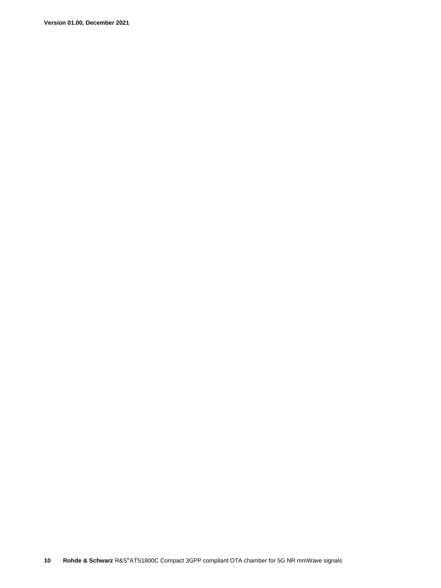**Version 01.00, December 2021**